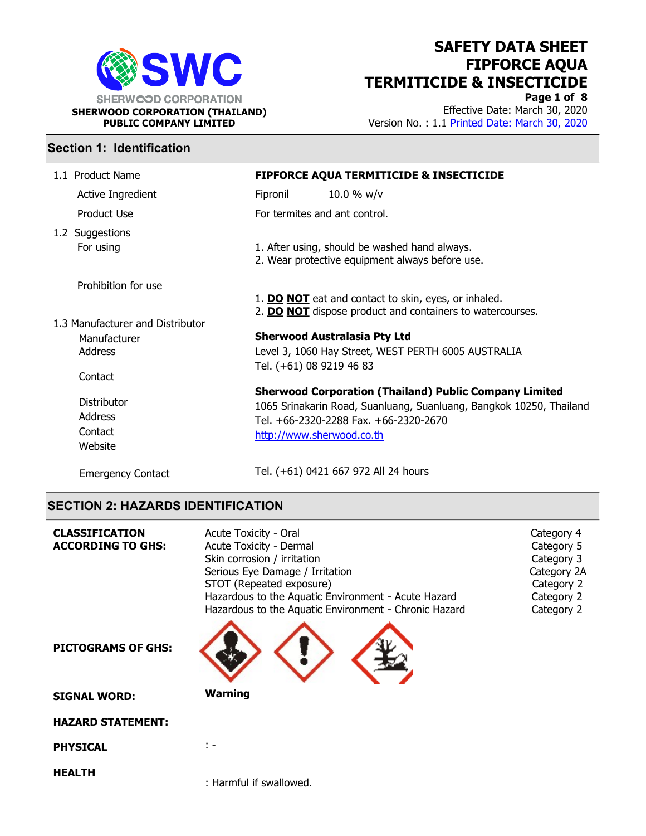

Page 1 of 8 Effective Date: March 30, 2020 Version No. : 1.1 Printed Date: March 30, 2020

#### Section 1: Identification

| 1.1 Product Name                 |                                                                                                  | <b>FIPFORCE AQUA TERMITICIDE &amp; INSECTICIDE</b>                                                                |
|----------------------------------|--------------------------------------------------------------------------------------------------|-------------------------------------------------------------------------------------------------------------------|
| Active Ingredient                | Fipronil                                                                                         | 10.0 % $w/v$                                                                                                      |
| Product Use                      | For termites and ant control.                                                                    |                                                                                                                   |
| 1.2 Suggestions                  |                                                                                                  |                                                                                                                   |
| For using                        | 1. After using, should be washed hand always.<br>2. Wear protective equipment always before use. |                                                                                                                   |
| Prohibition for use              |                                                                                                  |                                                                                                                   |
|                                  |                                                                                                  | 1. DO NOT eat and contact to skin, eyes, or inhaled.<br>2. DO NOT dispose product and containers to watercourses. |
| 1.3 Manufacturer and Distributor |                                                                                                  |                                                                                                                   |
| Manufacturer                     |                                                                                                  | <b>Sherwood Australasia Pty Ltd</b>                                                                               |
| Address                          |                                                                                                  | Level 3, 1060 Hay Street, WEST PERTH 6005 AUSTRALIA                                                               |
| Contact                          | Tel. (+61) 08 9219 46 83                                                                         |                                                                                                                   |
|                                  |                                                                                                  | <b>Sherwood Corporation (Thailand) Public Company Limited</b>                                                     |
| Distributor                      |                                                                                                  | 1065 Srinakarin Road, Suanluang, Suanluang, Bangkok 10250, Thailand                                               |
| <b>Address</b>                   |                                                                                                  | Tel. +66-2320-2288 Fax. +66-2320-2670                                                                             |
| Contact<br>Website               | http://www.sherwood.co.th                                                                        |                                                                                                                   |
| <b>Emergency Contact</b>         |                                                                                                  | Tel. (+61) 0421 667 972 All 24 hours                                                                              |

#### SECTION 2: HAZARDS IDENTIFICATION

| <b>CLASSIFICATION</b><br><b>ACCORDING TO GHS:</b> | Acute Toxicity - Oral<br>Acute Toxicity - Dermal<br>Skin corrosion / irritation<br>Serious Eye Damage / Irritation<br>STOT (Repeated exposure)<br>Hazardous to the Aquatic Environment - Acute Hazard<br>Hazardous to the Aquatic Environment - Chronic Hazard | Category 4<br>Category 5<br>Category 3<br>Category 2A<br>Category 2<br>Category 2<br>Category 2 |
|---------------------------------------------------|----------------------------------------------------------------------------------------------------------------------------------------------------------------------------------------------------------------------------------------------------------------|-------------------------------------------------------------------------------------------------|
| <b>PICTOGRAMS OF GHS:</b>                         |                                                                                                                                                                                                                                                                |                                                                                                 |
| <b>SIGNAL WORD:</b>                               | <b>Warning</b>                                                                                                                                                                                                                                                 |                                                                                                 |
| <b>HAZARD STATEMENT:</b>                          |                                                                                                                                                                                                                                                                |                                                                                                 |
| <b>PHYSICAL</b>                                   | t –                                                                                                                                                                                                                                                            |                                                                                                 |
| <b>HEALTH</b>                                     | : Harmful if swallowed.                                                                                                                                                                                                                                        |                                                                                                 |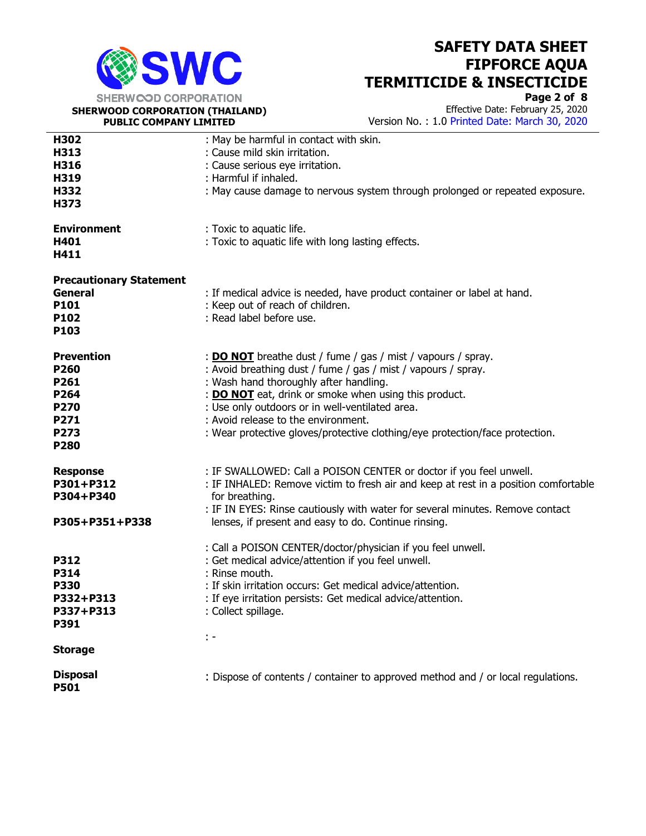

SHERWOOD CORPORATION (THAILAND) PUBLIC COMPANY LIMITED

 $\overline{a}$ 

## SAFETY DATA SHEET FIPFORCE AQUA TERMITICIDE & INSECTICIDE

Page 2 of 8 Effective Date: February 25, 2020

Version No. : 1.0 Printed Date: March 30, 2020

| H302                           | : May be harmful in contact with skin.                                              |
|--------------------------------|-------------------------------------------------------------------------------------|
| H313                           | : Cause mild skin irritation.                                                       |
| H316                           | : Cause serious eye irritation.                                                     |
| H319                           | : Harmful if inhaled.                                                               |
| H332                           | : May cause damage to nervous system through prolonged or repeated exposure.        |
| H373                           |                                                                                     |
|                                |                                                                                     |
| <b>Environment</b>             | : Toxic to aquatic life.                                                            |
| H401                           | : Toxic to aquatic life with long lasting effects.                                  |
| H411                           |                                                                                     |
|                                |                                                                                     |
| <b>Precautionary Statement</b> |                                                                                     |
| <b>General</b>                 | : If medical advice is needed, have product container or label at hand.             |
| P101                           | : Keep out of reach of children.                                                    |
| P102                           | : Read label before use.                                                            |
| P103                           |                                                                                     |
|                                |                                                                                     |
| <b>Prevention</b>              | : <b>DO NOT</b> breathe dust / fume / gas / mist / vapours / spray.                 |
| P260                           | : Avoid breathing dust / fume / gas / mist / vapours / spray.                       |
| P261                           | : Wash hand thoroughly after handling.                                              |
| P264                           | : <b>DO NOT</b> eat, drink or smoke when using this product.                        |
| P270                           | : Use only outdoors or in well-ventilated area.                                     |
| P271                           | : Avoid release to the environment.                                                 |
| P273                           | : Wear protective gloves/protective clothing/eye protection/face protection.        |
| P280                           |                                                                                     |
|                                | : IF SWALLOWED: Call a POISON CENTER or doctor if you feel unwell.                  |
| <b>Response</b><br>P301+P312   | : IF INHALED: Remove victim to fresh air and keep at rest in a position comfortable |
| P304+P340                      | for breathing.                                                                      |
|                                | : IF IN EYES: Rinse cautiously with water for several minutes. Remove contact       |
| P305+P351+P338                 | lenses, if present and easy to do. Continue rinsing.                                |
|                                |                                                                                     |
|                                | : Call a POISON CENTER/doctor/physician if you feel unwell.                         |
| <b>P312</b>                    | : Get medical advice/attention if you feel unwell.                                  |
| <b>P314</b>                    | : Rinse mouth.                                                                      |
| <b>P330</b>                    | : If skin irritation occurs: Get medical advice/attention.                          |
| P332+P313                      | : If eye irritation persists: Get medical advice/attention.                         |
| P337+P313                      | : Collect spillage.                                                                 |
| P391                           |                                                                                     |
|                                | t -                                                                                 |
| <b>Storage</b>                 |                                                                                     |
| <b>Disposal</b><br><b>P501</b> | : Dispose of contents / container to approved method and / or local regulations.    |
|                                |                                                                                     |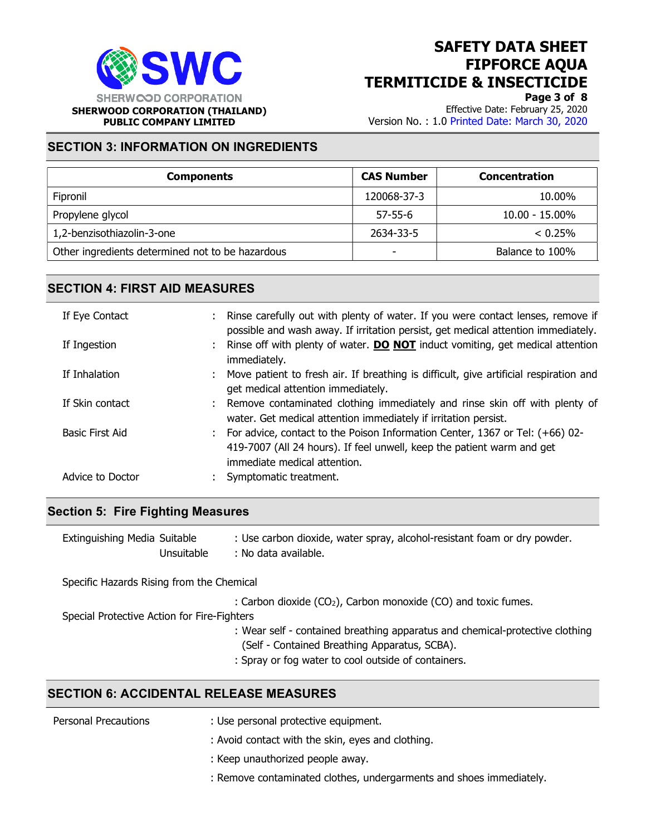

Page 3 of 8

Effective Date: February 25, 2020 Version No. : 1.0 Printed Date: March 30, 2020

## SECTION 3: INFORMATION ON INGREDIENTS

| <b>Components</b>                                | <b>CAS Number</b> | <b>Concentration</b> |
|--------------------------------------------------|-------------------|----------------------|
| Fipronil                                         | 120068-37-3       | 10.00%               |
| Propylene glycol                                 | $57 - 55 - 6$     | $10.00 - 15.00\%$    |
| 1,2-benzisothiazolin-3-one                       | 2634-33-5         | < 0.25%              |
| Other ingredients determined not to be hazardous | -                 | Balance to 100%      |

### SECTION 4: FIRST AID MEASURES

| If Eye Contact  |                  | : Rinse carefully out with plenty of water. If you were contact lenses, remove if<br>possible and wash away. If irritation persist, get medical attention immediately.                   |
|-----------------|------------------|------------------------------------------------------------------------------------------------------------------------------------------------------------------------------------------|
| If Ingestion    |                  | : Rinse off with plenty of water. <b>DO NOT</b> induct vomiting, get medical attention<br>immediately.                                                                                   |
| If Inhalation   |                  | : Move patient to fresh air. If breathing is difficult, give artificial respiration and<br>get medical attention immediately.                                                            |
|                 | If Skin contact  | : Remove contaminated clothing immediately and rinse skin off with plenty of<br>water. Get medical attention immediately if irritation persist.                                          |
| Basic First Aid |                  | : For advice, contact to the Poison Information Center, 1367 or Tel: (+66) 02-<br>419-7007 (All 24 hours). If feel unwell, keep the patient warm and get<br>immediate medical attention. |
|                 | Advice to Doctor | : Symptomatic treatment.                                                                                                                                                                 |

#### Section 5: Fire Fighting Measures

| Extinguishing Media Suitable | : Use carbon dioxide, water spray, alcohol-resistant foam or dry powder. |
|------------------------------|--------------------------------------------------------------------------|
| Unsuitable                   | : No data available.                                                     |

Specific Hazards Rising from the Chemical

: Carbon dioxide (CO<sub>2</sub>), Carbon monoxide (CO) and toxic fumes.

Special Protective Action for Fire-Fighters

- : Wear self contained breathing apparatus and chemical-protective clothing (Self - Contained Breathing Apparatus, SCBA).
- : Spray or fog water to cool outside of containers.

### SECTION 6: ACCIDENTAL RELEASE MEASURES

| Personal Precautions | : Use personal protective equipment.                                |
|----------------------|---------------------------------------------------------------------|
|                      | : Avoid contact with the skin, eyes and clothing.                   |
|                      | : Keep unauthorized people away.                                    |
|                      | : Remove contaminated clothes, undergarments and shoes immediately. |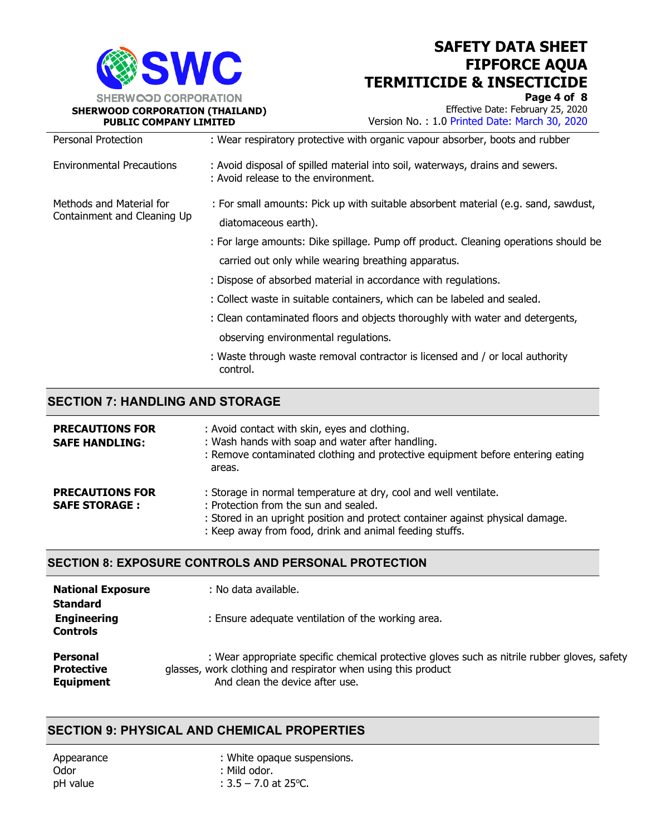

Page 4 of 8

Effective Date: February 25, 2020 Version No. : 1.0 Printed Date: March 30, 2020

| Personal Protection                                     | : Wear respiratory protective with organic vapour absorber, boots and rubber                                         |
|---------------------------------------------------------|----------------------------------------------------------------------------------------------------------------------|
| <b>Environmental Precautions</b>                        | : Avoid disposal of spilled material into soil, waterways, drains and sewers.<br>: Avoid release to the environment. |
| Methods and Material for<br>Containment and Cleaning Up | : For small amounts: Pick up with suitable absorbent material (e.g. sand, sawdust,<br>diatomaceous earth).           |
|                                                         | : For large amounts: Dike spillage. Pump off product. Cleaning operations should be                                  |
|                                                         | carried out only while wearing breathing apparatus.                                                                  |
|                                                         | : Dispose of absorbed material in accordance with regulations.                                                       |
|                                                         | : Collect waste in suitable containers, which can be labeled and sealed.                                             |
|                                                         | : Clean contaminated floors and objects thoroughly with water and detergents,                                        |
|                                                         | observing environmental regulations.                                                                                 |
|                                                         | : Waste through waste removal contractor is licensed and / or local authority<br>control.                            |

### SECTION 7: HANDLING AND STORAGE

| <b>PRECAUTIONS FOR</b><br><b>SAFE HANDLING:</b> | : Avoid contact with skin, eyes and clothing.<br>: Wash hands with soap and water after handling.<br>: Remove contaminated clothing and protective equipment before entering eating<br>areas.                                                          |
|-------------------------------------------------|--------------------------------------------------------------------------------------------------------------------------------------------------------------------------------------------------------------------------------------------------------|
| <b>PRECAUTIONS FOR</b><br><b>SAFE STORAGE:</b>  | : Storage in normal temperature at dry, cool and well ventilate.<br>: Protection from the sun and sealed.<br>: Stored in an upright position and protect container against physical damage.<br>: Keep away from food, drink and animal feeding stuffs. |

#### SECTION 8: EXPOSURE CONTROLS AND PERSONAL PROTECTION

| <b>National Exposure</b><br><b>Standard</b><br><b>Engineering</b><br><b>Controls</b> | : No data available.<br>: Ensure adequate ventilation of the working area.                   |
|--------------------------------------------------------------------------------------|----------------------------------------------------------------------------------------------|
| <b>Personal</b>                                                                      | : Wear appropriate specific chemical protective gloves such as nitrile rubber gloves, safety |
| Protective                                                                           | glasses, work clothing and respirator when using this product                                |
| <b>Equipment</b>                                                                     | And clean the device after use.                                                              |

### SECTION 9: PHYSICAL AND CHEMICAL PROPERTIES

Appearance : White opaque suspensions. Odor : Mild odor.  $pH$  value :  $3.5 - 7.0$  at 25 °C.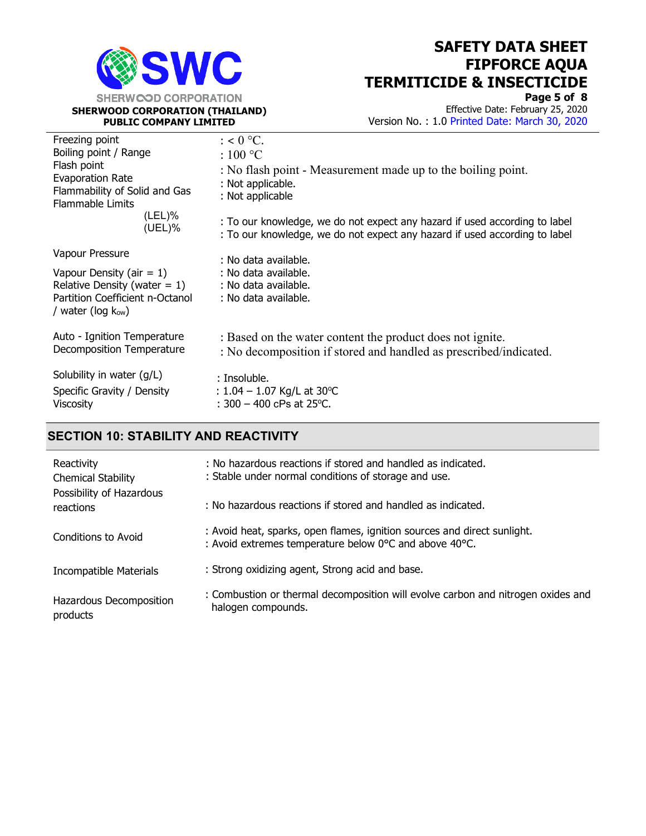

Page 5 of 8 Effective Date: February 25, 2020 Version No. : 1.0 Printed Date: March 30, 2020

| Freezing point<br>Boiling point / Range<br>Flash point<br><b>Evaporation Rate</b><br>Flammability of Solid and Gas<br><b>Flammable Limits</b><br>(LEL)%<br>$(UEL)\%$ | $: < 0$ °C.<br>$:100\text{ °C}$<br>: No flash point - Measurement made up to the boiling point.<br>: Not applicable.<br>: Not applicable<br>: To our knowledge, we do not expect any hazard if used according to label<br>: To our knowledge, we do not expect any hazard if used according to label |
|----------------------------------------------------------------------------------------------------------------------------------------------------------------------|------------------------------------------------------------------------------------------------------------------------------------------------------------------------------------------------------------------------------------------------------------------------------------------------------|
| Vapour Pressure<br>Vapour Density (air $= 1$ )<br>Relative Density (water $= 1$ )<br>Partition Coefficient n-Octanol<br>/ water (log $k_{ow}$ )                      | : No data available.<br>: No data available.<br>: No data available.<br>: No data available.                                                                                                                                                                                                         |
| Auto - Ignition Temperature                                                                                                                                          | : Based on the water content the product does not ignite.                                                                                                                                                                                                                                            |
| Decomposition Temperature                                                                                                                                            | : No decomposition if stored and handled as prescribed/indicated.                                                                                                                                                                                                                                    |
| Solubility in water (g/L)                                                                                                                                            | : Insoluble.                                                                                                                                                                                                                                                                                         |
| Specific Gravity / Density                                                                                                                                           | : $1.04 - 1.07$ Kg/L at 30 °C                                                                                                                                                                                                                                                                        |
| <b>Viscosity</b>                                                                                                                                                     | : $300 - 400$ cPs at 25 °C.                                                                                                                                                                                                                                                                          |

#### SECTION 10: STABILITY AND REACTIVITY

| Reactivity<br>Chemical Stability      | : No hazardous reactions if stored and handled as indicated.<br>: Stable under normal conditions of storage and use.               |
|---------------------------------------|------------------------------------------------------------------------------------------------------------------------------------|
| Possibility of Hazardous<br>reactions | : No hazardous reactions if stored and handled as indicated.                                                                       |
| Conditions to Avoid                   | : Avoid heat, sparks, open flames, ignition sources and direct sunlight.<br>: Avoid extremes temperature below 0°C and above 40°C. |
| Incompatible Materials                | : Strong oxidizing agent, Strong acid and base.                                                                                    |
| Hazardous Decomposition<br>products   | : Combustion or thermal decomposition will evolve carbon and nitrogen oxides and<br>halogen compounds.                             |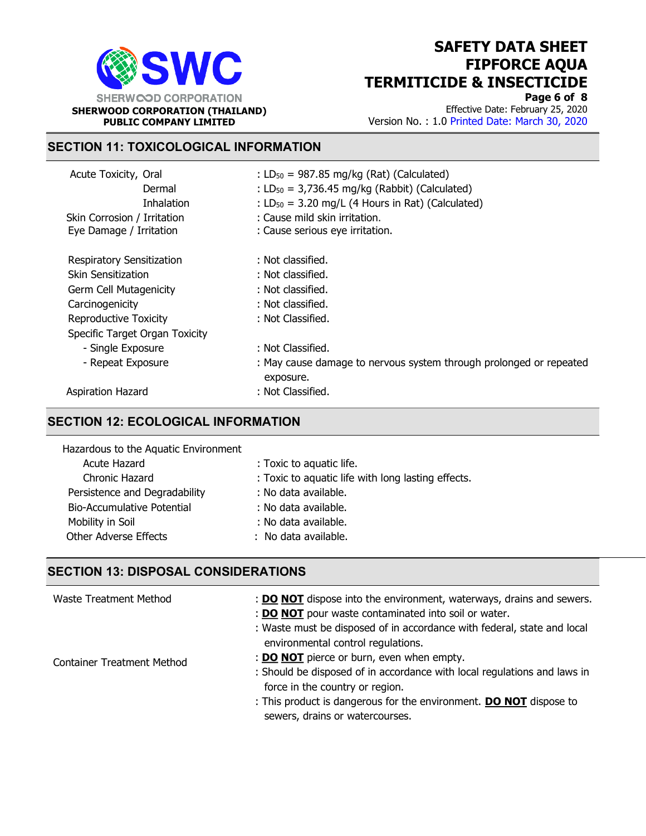

Page 6 of 8 Effective Date: February 25, 2020 Version No. : 1.0 Printed Date: March 30, 2020

### SECTION 11: TOXICOLOGICAL INFORMATION

| Acute Toxicity, Oral<br>Dermal<br><b>Inhalation</b> | : $LD_{50} = 987.85$ mg/kg (Rat) (Calculated)<br>: $LD_{50} = 3,736.45$ mg/kg (Rabbit) (Calculated)<br>: $LD_{50} = 3.20$ mg/L (4 Hours in Rat) (Calculated) |  |  |
|-----------------------------------------------------|--------------------------------------------------------------------------------------------------------------------------------------------------------------|--|--|
| Skin Corrosion / Irritation                         | : Cause mild skin irritation.                                                                                                                                |  |  |
| Eye Damage / Irritation                             | : Cause serious eye irritation.                                                                                                                              |  |  |
| <b>Respiratory Sensitization</b>                    | : Not classified.                                                                                                                                            |  |  |
| Skin Sensitization                                  | : Not classified.                                                                                                                                            |  |  |
| Germ Cell Mutagenicity                              | : Not classified.                                                                                                                                            |  |  |
| Carcinogenicity                                     | : Not classified.                                                                                                                                            |  |  |
| Reproductive Toxicity                               | : Not Classified.                                                                                                                                            |  |  |
| Specific Target Organ Toxicity                      |                                                                                                                                                              |  |  |
| - Single Exposure                                   | : Not Classified.                                                                                                                                            |  |  |
| - Repeat Exposure                                   | : May cause damage to nervous system through prolonged or repeated<br>exposure.                                                                              |  |  |
| Aspiration Hazard                                   | : Not Classified.                                                                                                                                            |  |  |

### SECTION 12: ECOLOGICAL INFORMATION

| Hazardous to the Aquatic Environment |                                                    |
|--------------------------------------|----------------------------------------------------|
| Acute Hazard                         | : Toxic to aquatic life.                           |
| Chronic Hazard                       | : Toxic to aquatic life with long lasting effects. |
| Persistence and Degradability        | : No data available.                               |
| Bio-Accumulative Potential           | : No data available.                               |
| Mobility in Soil                     | : No data available.                               |
| Other Adverse Effects                | : No data available.                               |

#### SECTION 13: DISPOSAL CONSIDERATIONS

| Waste Treatment Method            | : <b>DO NOT</b> dispose into the environment, waterways, drains and sewers.<br>: DO NOT pour waste contaminated into soil or water.<br>: Waste must be disposed of in accordance with federal, state and local |
|-----------------------------------|----------------------------------------------------------------------------------------------------------------------------------------------------------------------------------------------------------------|
| <b>Container Treatment Method</b> | environmental control regulations.<br>: <b>DO NOT</b> pierce or burn, even when empty.                                                                                                                         |
|                                   | : Should be disposed of in accordance with local regulations and laws in<br>force in the country or region.                                                                                                    |
|                                   | : This product is dangerous for the environment. <b>DO NOT</b> dispose to<br>sewers, drains or watercourses.                                                                                                   |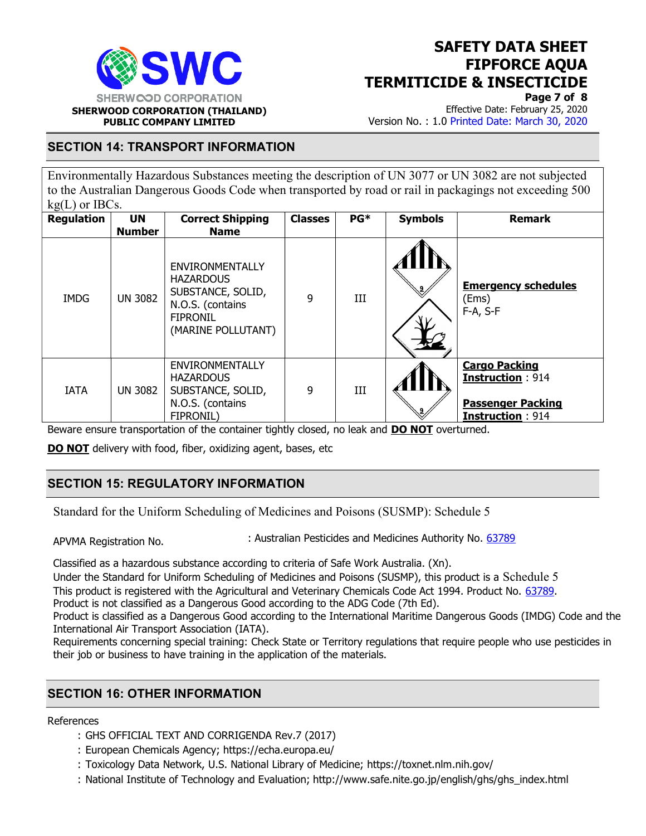

Page 7 of 8

Effective Date: February 25, 2020 Version No. : 1.0 Printed Date: March 30, 2020

#### SECTION 14: TRANSPORT INFORMATION

Environmentally Hazardous Substances meeting the description of UN 3077 or UN 3082 are not subjected to the Australian Dangerous Goods Code when transported by road or rail in packagings not exceeding 500  $kg(L)$  or IBCs.

| ັ<br><b>Regulation</b> | <b>UN</b><br><b>Number</b> | <b>Correct Shipping</b><br><b>Name</b>                                                                                       | <b>Classes</b> | PG* | <b>Symbols</b> | <b>Remark</b>                                                                                   |
|------------------------|----------------------------|------------------------------------------------------------------------------------------------------------------------------|----------------|-----|----------------|-------------------------------------------------------------------------------------------------|
| <b>IMDG</b>            | <b>UN 3082</b>             | <b>ENVIRONMENTALLY</b><br><b>HAZARDOUS</b><br>SUBSTANCE, SOLID,<br>N.O.S. (contains<br><b>FIPRONIL</b><br>(MARINE POLLUTANT) | 9              | III |                | <b>Emergency schedules</b><br>(Ems)<br>F-A, S-F                                                 |
| <b>IATA</b>            | <b>UN 3082</b>             | ENVIRONMENTALLY<br><b>HAZARDOUS</b><br>SUBSTANCE, SOLID,<br>N.O.S. (contains<br>FIPRONIL)                                    | 9              | Ш   |                | <b>Cargo Packing</b><br><b>Instruction: 914</b><br><b>Passenger Packing</b><br>Instruction: 914 |

Beware ensure transportation of the container tightly closed, no leak and **DO NOT** overturned.

DO NOT delivery with food, fiber, oxidizing agent, bases, etc

## SECTION 15: REGULATORY INFORMATION

Standard for the Uniform Scheduling of Medicines and Poisons (SUSMP): Schedule 5

APVMA Registration No. : Australian Pesticides and Medicines Authority No. 63789

Classified as a hazardous substance according to criteria of Safe Work Australia. (Xn).

Under the Standard for Uniform Scheduling of Medicines and Poisons (SUSMP), this product is a Schedule 5 This product is registered with the Agricultural and Veterinary Chemicals Code Act 1994. Product No. 63789. Product is not classified as a Dangerous Good according to the ADG Code (7th Ed).

Product is classified as a Dangerous Good according to the International Maritime Dangerous Goods (IMDG) Code and the International Air Transport Association (IATA).

Requirements concerning special training: Check State or Territory regulations that require people who use pesticides in their job or business to have training in the application of the materials.

### SECTION 16: OTHER INFORMATION

#### References

- : GHS OFFICIAL TEXT AND CORRIGENDA Rev.7 (2017)
- : European Chemicals Agency; https://echa.europa.eu/
- : Toxicology Data Network, U.S. National Library of Medicine; https://toxnet.nlm.nih.gov/
- : National Institute of Technology and Evaluation; http://www.safe.nite.go.jp/english/ghs/ghs\_index.html